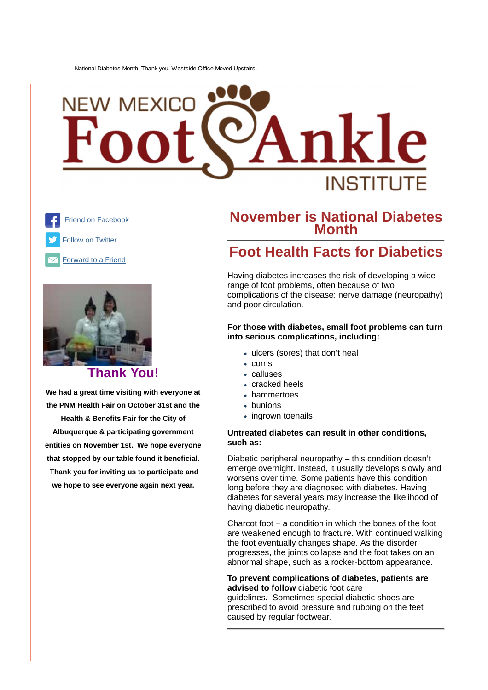# NEW MEXIC INSTITLIT





#### **Thank You!**

**We had a great time visiting with everyone at the PNM Health Fair on October 31st and the Health & Benefits Fair for the City of Albuquerque & participating government entities on November 1st. We hope everyone that stopped by our table found it beneficial. Thank you for inviting us to participate and we hope to see everyone again next year.**

#### **November is National Diabetes Month**

### **Foot Health Facts for Diabetics**

Having diabetes increases the risk of developing a wide range of foot problems, often because of two complications of the disease: nerve damage (neuropathy) and poor circulation.

#### **For those with diabetes, small foot problems can turn into serious complications, including:**

- ulcers (sores) that don't heal
- corns
- calluses
- cracked heels
- hammertoes
- bunions
- ingrown toenails

#### **Untreated diabetes can result in other conditions, such as:**

Diabetic peripheral neuropathy – this condition doesn't emerge overnight. Instead, it usually develops slowly and worsens over time. Some patients have this condition long before they are diagnosed with diabetes. Having diabetes for several years may increase the likelihood of having diabetic neuropathy.

Charcot foot – a condition in which the bones of the foot are weakened enough to fracture. With continued walking the foot eventually changes shape. As the disorder progresses, the joints collapse and the foot takes on an abnormal shape, such as a rocker-bottom appearance.

#### **To prevent complications of diabetes, patients are advised to follow** diabetic foot care

guidelines**.** Sometimes special diabetic shoes are prescribed to avoid pressure and rubbing on the feet caused by regular footwear.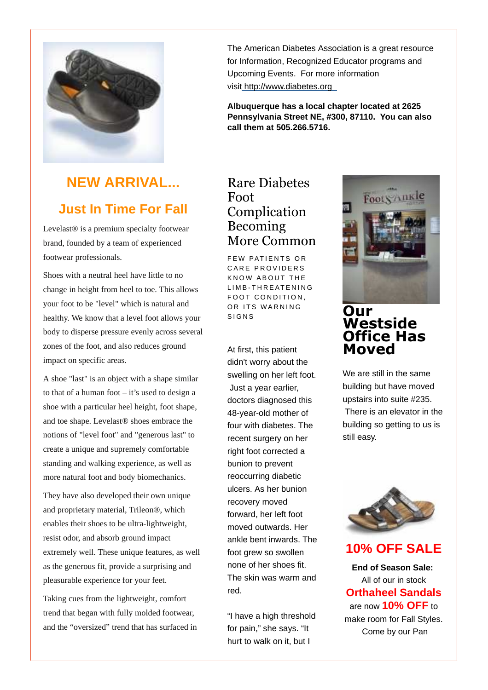

## **NEW ARRIVAL... Just In Time For Fall**

Levelast® is a premium specialty footwear brand, founded by a team of experienced footwear professionals.

Shoes with a neutral heel have little to no change in height from heel to toe. This allows your foot to be "level" which is natural and healthy. We know that a level foot allows your body to disperse pressure evenly across several zones of the foot, and also reduces ground impact on specific areas.

A shoe "last" is an object with a shape similar to that of a human foot – it's used to design a shoe with a particular heel height, foot shape, and toe shape. Levelast® shoes embrace the notions of "level foot" and "generous last" to create a unique and supremely comfortable standing and walking experience, as well as more natural foot and body biomechanics.

They have also developed their own unique and proprietary material, Trileon®, which enables their shoes to be ultra-lightweight, resist odor, and absorb ground impact extremely well. These unique features, as well as the generous fit, provide a surprising and pleasurable experience for your feet.

Taking cues from the lightweight, comfort trend that began with fully molded footwear, and the "oversized" trend that has surfaced in

The American Diabetes Association is a great resource for Information, Recognized Educator programs and Upcoming Events. For more information visit http://www.diabetes.org

**Albuquerque has a local chapter located at 2625 Pennsylvania Street NE, #300, 87110. You can also call them at 505.266.5716.**

#### Rare Diabetes Foot Complication Becoming More Common

FFW PATIFNTS OR CARE PROVIDERS KNOW ABOUT THE LIMB-THREATENING FOOT CONDITION, OR ITS WARNING S I G N S

At first, this patient didn't worry about the swelling on her left foot. Just a year earlier, doctors diagnosed this 48-year-old mother of four with diabetes. The recent surgery on her right foot corrected a bunion to prevent reoccurring diabetic ulcers. As her bunion recovery moved forward, her left foot moved outwards. Her ankle bent inwards. The foot grew so swollen none of her shoes fit. The skin was warm and red.

"I have a high threshold for pain," she says. "It hurt to walk on it, but I



#### **Our Westside Office Has Moved**

We are still in the same building but have moved upstairs into suite #235. There is an elevator in the building so getting to us is still easy.



**10% OFF SALE**

**End of Season Sale:** All of our in stock **Orthaheel Sandals** are now **10% OFF** to make room for Fall Styles. Come by our Pan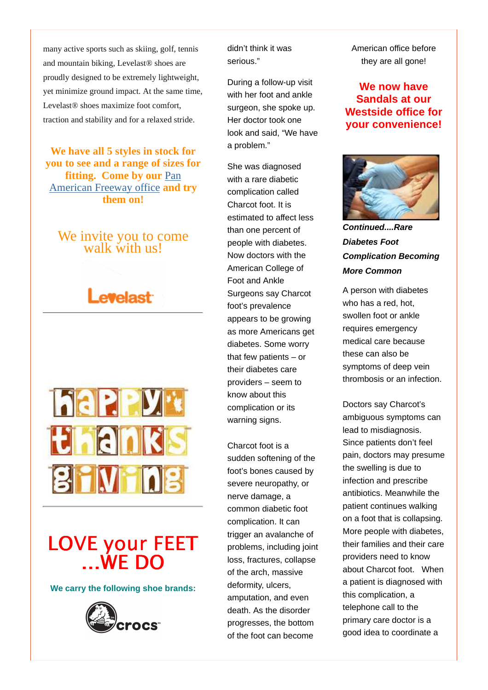many active sports such as skiing, golf, tennis and mountain biking, Levelast® shoes are proudly designed to be extremely lightweight, yet minimize ground impact. At the same time, Levelast® shoes maximize foot comfort, traction and stability and for a relaxed stride.

**We have all 5 styles in stock for you to see and a range of sizes for fitting. Come by our Pan** American Freeway office **and try them on!**

#### We invite you to come walk with us!





# LOVE your FEET ...WE DO

**We carry the following shoe brands:**



didn't think it was serious."

During a follow-up visit with her foot and ankle surgeon, she spoke up. Her doctor took one look and said, "We have a problem."

She was diagnosed with a rare diabetic complication called Charcot foot. It is estimated to affect less than one percent of people with diabetes. Now doctors with the American College of Foot and Ankle Surgeons say Charcot foot's prevalence appears to be growing as more Americans get diabetes. Some worry that few patients – or their diabetes care providers – seem to know about this complication or its warning signs.

Charcot foot is a sudden softening of the foot's bones caused by severe neuropathy, or nerve damage, a common diabetic foot complication. It can trigger an avalanche of problems, including joint loss, fractures, collapse of the arch, massive deformity, ulcers, amputation, and even death. As the disorder progresses, the bottom of the foot can become

American office before they are all gone!

#### **We now have Sandals at our Westside office for your convenience!**



**Continued....Rare Diabetes Foot Complication Becoming More Common**

A person with diabetes who has a red, hot, swollen foot or ankle requires emergency medical care because these can also be symptoms of deep vein thrombosis or an infection.

Doctors say Charcot's ambiguous symptoms can lead to misdiagnosis. Since patients don't feel pain, doctors may presume the swelling is due to infection and prescribe antibiotics. Meanwhile the patient continues walking on a foot that is collapsing. More people with diabetes, their families and their care providers need to know about Charcot foot. When a patient is diagnosed with this complication, a telephone call to the primary care doctor is a good idea to coordinate a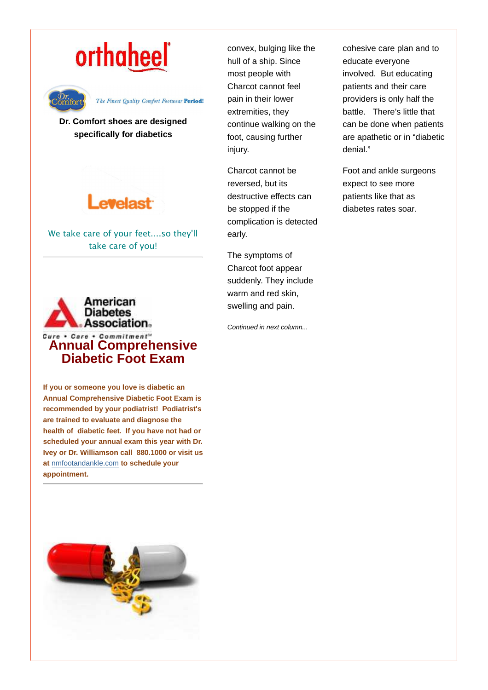# orthaheel



#### The Finest Quality Comfort Footwear Period!

**Dr. Comfort shoes are designed specifically for diabetics**

# **evelast**

We take care of your feet....so they'll take care of you!



**If you or someone you love is diabetic an Annual Comprehensive Diabetic Foot Exam is recommended by your podiatrist! Podiatrist's are trained to evaluate and diagnose the health of diabetic feet. If you have not had or scheduled your annual exam this year with Dr. Ivey or Dr. Williamson call 880.1000 or visit us at** nmfootandankle.com **to schedule your appointment.**



convex, bulging like the hull of a ship. Since most people with Charcot cannot feel pain in their lower extremities, they continue walking on the foot, causing further injury.

Charcot cannot be reversed, but its destructive effects can be stopped if the complication is detected early.

The symptoms of Charcot foot appear suddenly. They include warm and red skin, swelling and pain.

Continued in next column...

cohesive care plan and to educate everyone involved. But educating patients and their care providers is only half the battle. There's little that can be done when patients are apathetic or in "diabetic denial."

Foot and ankle surgeons expect to see more patients like that as diabetes rates soar.